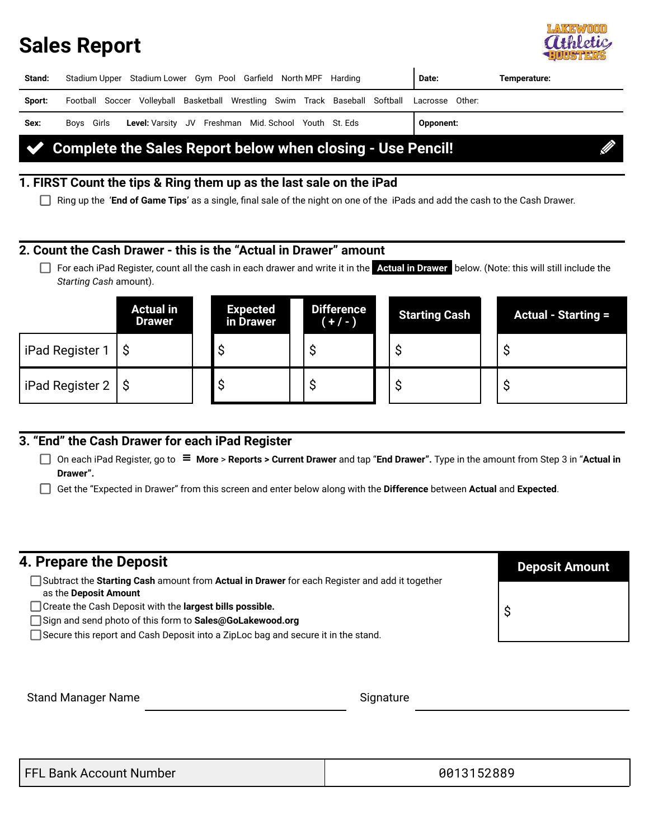### **Sales Report**



| Stand:                                                            | Stadium Upper Stadium Lower Gym Pool Garfield North MPF Harding                              | Date:     | Temperature: |  |
|-------------------------------------------------------------------|----------------------------------------------------------------------------------------------|-----------|--------------|--|
| Sport:                                                            | Football Soccer Volleyball Basketball Wrestling Swim Track Baseball Softball Lacrosse Other: |           |              |  |
| Sex:                                                              | Boys Girls Level: Varsity JV Freshman Mid. School Youth St. Eds                              | Opponent: |              |  |
| Complete the Sales Report below when closing - Use Pencil!<br>K Z |                                                                                              |           |              |  |

### **1. FIRST Count the tips & Ring them up as the last sale on the iPad**

Ring up the '**End of Game Tips**' as a single, final sale of the night on one of the iPads and add the cash to the Cash Drawer.

#### **2. Count the Cash Drawer - this is the "Actual in Drawer" amount**

For each iPad Register, count all the cash in each drawer and write it in the **Actual in Drawer** below. (Note: this will still include the *Starting Cash* amount).

|                      | <b>Actual in</b><br><b>Drawer</b> | <b>Expected</b><br>in Drawer | <b>Difference</b><br>$(+/-)$ | <b>Starting Cash</b> | <b>Actual - Starting =</b> |
|----------------------|-----------------------------------|------------------------------|------------------------------|----------------------|----------------------------|
| l iPad Register 1    |                                   |                              |                              |                      |                            |
| iPad Register 2   \$ |                                   |                              |                              |                      |                            |

#### **3. "End" the Cash Drawer for each iPad Register**

On each iPad Register, go to **More** > **Reports > Current Drawer** and tap "**End Drawer".** Type in the amount from Step 3 in "**Actual in Drawer".**

Get the "Expected in Drawer" from this screen and enter below along with the **Difference** between **Actual** and **Expected**.

| 4. Prepare the Deposit                                                                                                                                                             | <b>Deposit Amount</b> |
|------------------------------------------------------------------------------------------------------------------------------------------------------------------------------------|-----------------------|
| Subtract the Starting Cash amount from Actual in Drawer for each Register and add it together<br>as the Deposit Amount<br>Create the Cash Deposit with the largest bills possible. |                       |
| Sign and send photo of this form to Sales@GoLakewood.org<br>Secure this report and Cash Deposit into a ZipLoc bag and secure it in the stand.                                      |                       |
|                                                                                                                                                                                    |                       |

Stand Manager Name Stand Manager Name

| FFL Bank Account Number | 0013152889 |
|-------------------------|------------|
|                         |            |